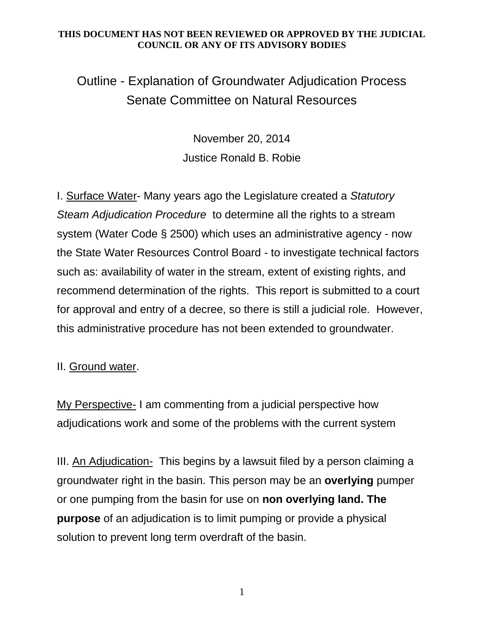## **THIS DOCUMENT HAS NOT BEEN REVIEWED OR APPROVED BY THE JUDICIAL COUNCIL OR ANY OF ITS ADVISORY BODIES**

 Outline - Explanation of Groundwater Adjudication Process Senate Committee on Natural Resources

> November 20, 2014 Justice Ronald B. Robie

 I. Surface Water- Many years ago the Legislature created a *Statutory Steam Adjudication Procedure* to determine all the rights to a stream system (Water Code § 2500) which uses an administrative agency - now the State Water Resources Control Board - to investigate technical factors such as: availability of water in the stream, extent of existing rights, and recommend determination of the rights. This report is submitted to a court for approval and entry of a decree, so there is still a judicial role. However, this administrative procedure has not been extended to groundwater.

## II. Ground water.

My Perspective- I am commenting from a judicial perspective how adjudications work and some of the problems with the current system

III. An Adjudication- This begins by a lawsuit filed by a person claiming a groundwater right in the basin. This person may be an **overlying** pumper or one pumping from the basin for use on **non overlying land. The purpose** of an adjudication is to limit pumping or provide a physical solution to prevent long term overdraft of the basin.

1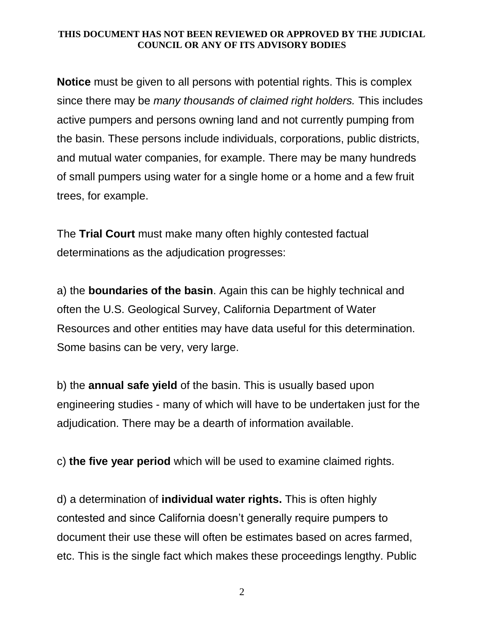## **THIS DOCUMENT HAS NOT BEEN REVIEWED OR APPROVED BY THE JUDICIAL COUNCIL OR ANY OF ITS ADVISORY BODIES**

 **Notice** must be given to all persons with potential rights. This is complex since there may be *many thousands of claimed right holders.* This includes active pumpers and persons owning land and not currently pumping from the basin. These persons include individuals, corporations, public districts, and mutual water companies, for example. There may be many hundreds of small pumpers using water for a single home or a home and a few fruit trees, for example.

 The **Trial Court** must make many often highly contested factual determinations as the adjudication progresses:

 a) the **boundaries of the basin**. Again this can be highly technical and often the U.S. Geological Survey, California Department of Water Resources and other entities may have data useful for this determination. Some basins can be very, very large.

 b) the **annual safe yield** of the basin. This is usually based upon engineering studies - many of which will have to be undertaken just for the adjudication. There may be a dearth of information available.

c) **the five year period** which will be used to examine claimed rights.

 d) a determination of **individual water rights.** This is often highly contested and since California doesn't generally require pumpers to document their use these will often be estimates based on acres farmed, etc. This is the single fact which makes these proceedings lengthy. Public